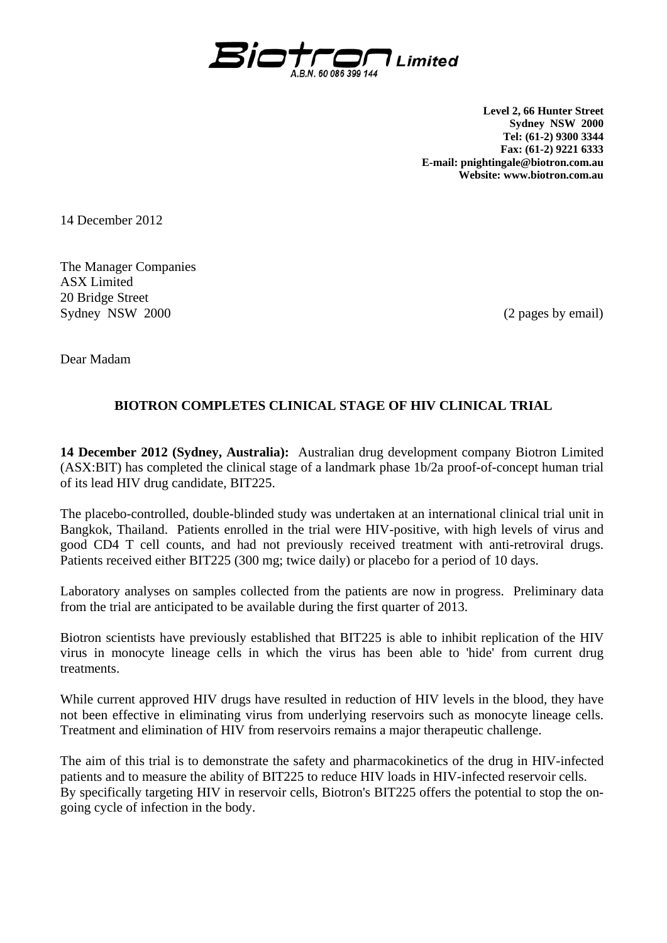

**Level 2, 66 Hunter Street Sydney NSW 2000 Tel: (61-2) 9300 3344 Fax: (61-2) 9221 6333 E-mail: pnightingale@biotron.com.au Website: www.biotron.com.au** 

14 December 2012

The Manager Companies ASX Limited 20 Bridge Street Sydney NSW 2000 (2 pages by email)

Dear Madam

## **BIOTRON COMPLETES CLINICAL STAGE OF HIV CLINICAL TRIAL**

**14 December 2012 (Sydney, Australia):** Australian drug development company Biotron Limited (ASX:BIT) has completed the clinical stage of a landmark phase 1b/2a proof-of-concept human trial of its lead HIV drug candidate, BIT225.

The placebo-controlled, double-blinded study was undertaken at an international clinical trial unit in Bangkok, Thailand. Patients enrolled in the trial were HIV-positive, with high levels of virus and good CD4 T cell counts, and had not previously received treatment with anti-retroviral drugs. Patients received either BIT225 (300 mg; twice daily) or placebo for a period of 10 days.

Laboratory analyses on samples collected from the patients are now in progress. Preliminary data from the trial are anticipated to be available during the first quarter of 2013.

Biotron scientists have previously established that BIT225 is able to inhibit replication of the HIV virus in monocyte lineage cells in which the virus has been able to 'hide' from current drug treatments.

While current approved HIV drugs have resulted in reduction of HIV levels in the blood, they have not been effective in eliminating virus from underlying reservoirs such as monocyte lineage cells. Treatment and elimination of HIV from reservoirs remains a major therapeutic challenge.

The aim of this trial is to demonstrate the safety and pharmacokinetics of the drug in HIV-infected patients and to measure the ability of BIT225 to reduce HIV loads in HIV-infected reservoir cells. By specifically targeting HIV in reservoir cells, Biotron's BIT225 offers the potential to stop the ongoing cycle of infection in the body.